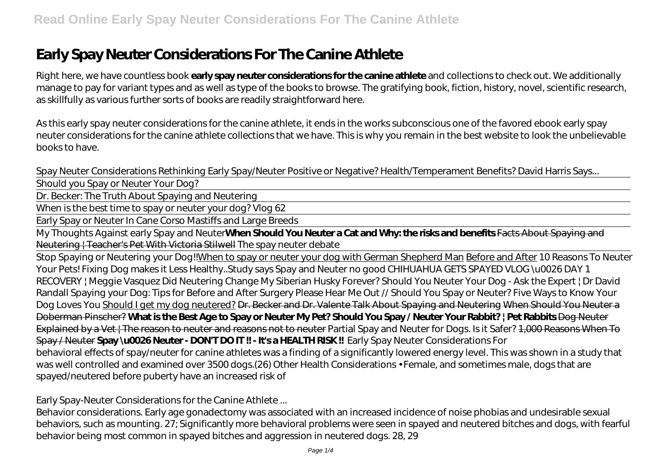# **Early Spay Neuter Considerations For The Canine Athlete**

Right here, we have countless book **early spay neuter considerations for the canine athlete** and collections to check out. We additionally manage to pay for variant types and as well as type of the books to browse. The gratifying book, fiction, history, novel, scientific research, as skillfully as various further sorts of books are readily straightforward here.

As this early spay neuter considerations for the canine athlete, it ends in the works subconscious one of the favored ebook early spay neuter considerations for the canine athlete collections that we have. This is why you remain in the best website to look the unbelievable books to have.

*Spay Neuter Considerations Rethinking* Early Spay/Neuter Positive or Negative? Health/Temperament Benefits? David Harris Says...

Should you Spay or Neuter Your Dog?

Dr. Becker: The Truth About Spaying and Neutering

When is the best time to spay or neuter your dog? Vlog 62

Early Spay or Neuter In Cane Corso Mastiffs and Large Breeds

My Thoughts Against early Spay and Neuter**When Should You Neuter a Cat and Why: the risks and benefits** Facts About Spaying and Neutering | Teacher's Pet With Victoria Stilwell *The spay neuter debate*

Stop Spaying or Neutering your Dog!!When to spay or neuter your dog with German Shepherd Man Before and After *10 Reasons To Neuter Your Pets! Fixing Dog makes it Less Healthy..Study says Spay and Neuter no good CHIHUAHUA GETS SPAYED VLOG \u0026 DAY 1 RECOVERY | Meggie Vasquez Did Neutering Change My Siberian Husky Forever?* Should You Neuter Your Dog - Ask the Expert | Dr David Randall Spaying your Dog: Tips for Before and After Surgery Please Hear Me Out // Should You Spay or Neuter? *Five Ways to Know Your Dog Loves You* Should I get my dog neutered? Dr. Becker and Dr. Valente Talk About Spaying and Neutering When Should You Neuter a Doberman Pinscher? **What is the Best Age to Spay or Neuter My Pet? Should You Spay / Neuter Your Rabbit? | Pet Rabbits** Dog Neuter Explained by a Vet | The reason to neuter and reasons not to neuter *Partial Spay and Neuter for Dogs. Is it Safer?* 1,000 Reasons When To Spay / Neuter **Spay \u0026 Neuter - DON'T DO IT !! - It's a HEALTH RISK !!** *Early Spay Neuter Considerations For* behavioral effects of spay/neuter for canine athletes was a finding of a significantly lowered energy level. This was shown in a study that was well controlled and examined over 3500 dogs.(26) Other Health Considerations • Female, and sometimes male, dogs that are spayed/neutered before puberty have an increased risk of

#### *Early Spay-Neuter Considerations for the Canine Athlete ...*

Behavior considerations. Early age gonadectomy was associated with an increased incidence of noise phobias and undesirable sexual behaviors, such as mounting. 27; Significantly more behavioral problems were seen in spayed and neutered bitches and dogs, with fearful behavior being most common in spayed bitches and aggression in neutered dogs. 28, 29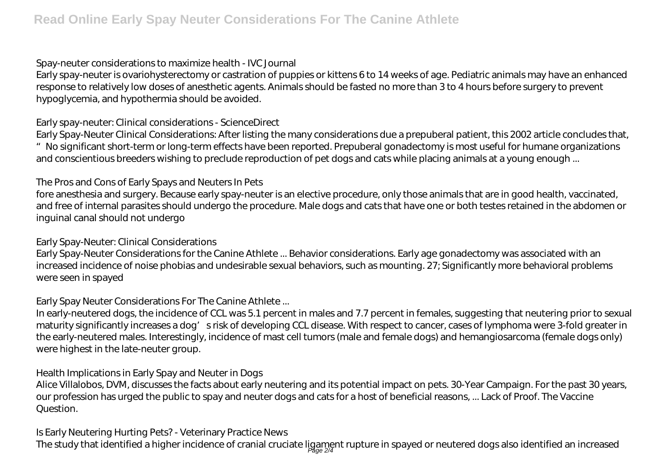### *Spay-neuter considerations to maximize health - IVC Journal*

Early spay-neuter is ovariohysterectomy or castration of puppies or kittens 6 to 14 weeks of age. Pediatric animals may have an enhanced response to relatively low doses of anesthetic agents. Animals should be fasted no more than 3 to 4 hours before surgery to prevent hypoglycemia, and hypothermia should be avoided.

## *Early spay-neuter: Clinical considerations - ScienceDirect*

Early Spay-Neuter Clinical Considerations: After listing the many considerations due a prepuberal patient, this 2002 article concludes that, "No significant short-term or long-term effects have been reported. Prepuberal gonadectomy is most useful for humane organizations and conscientious breeders wishing to preclude reproduction of pet dogs and cats while placing animals at a young enough ...

## *The Pros and Cons of Early Spays and Neuters In Pets*

fore anesthesia and surgery. Because early spay-neuter is an elective procedure, only those animals that are in good health, vaccinated, and free of internal parasites should undergo the procedure. Male dogs and cats that have one or both testes retained in the abdomen or inguinal canal should not undergo

### *Early Spay-Neuter: Clinical Considerations*

Early Spay-Neuter Considerations for the Canine Athlete ... Behavior considerations. Early age gonadectomy was associated with an increased incidence of noise phobias and undesirable sexual behaviors, such as mounting. 27; Significantly more behavioral problems were seen in spayed

### *Early Spay Neuter Considerations For The Canine Athlete ...*

In early-neutered dogs, the incidence of CCL was 5.1 percent in males and 7.7 percent in females, suggesting that neutering prior to sexual maturity significantly increases a dog' srisk of developing CCL disease. With respect to cancer, cases of lymphoma were 3-fold greater in the early-neutered males. Interestingly, incidence of mast cell tumors (male and female dogs) and hemangiosarcoma (female dogs only) were highest in the late-neuter group.

### *Health Implications in Early Spay and Neuter in Dogs*

Alice Villalobos, DVM, discusses the facts about early neutering and its potential impact on pets. 30-Year Campaign. For the past 30 years, our profession has urged the public to spay and neuter dogs and cats for a host of beneficial reasons, ... Lack of Proof. The Vaccine Question.

## *Is Early Neutering Hurting Pets? - Veterinary Practice News*

The study that identified a higher incidence of cranial cruciate ligament rupture in spayed or neutered dogs also identified an increased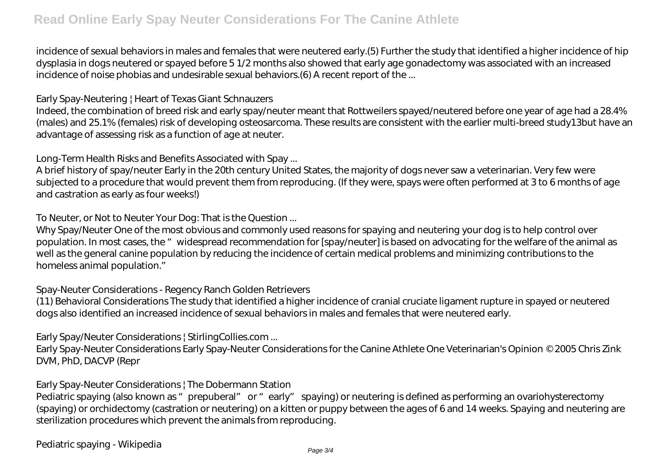incidence of sexual behaviors in males and females that were neutered early.(5) Further the study that identified a higher incidence of hip dysplasia in dogs neutered or spayed before 5 1/2 months also showed that early age gonadectomy was associated with an increased incidence of noise phobias and undesirable sexual behaviors.(6) A recent report of the ...

### *Early Spay-Neutering | Heart of Texas Giant Schnauzers*

Indeed, the combination of breed risk and early spay/neuter meant that Rottweilers spayed/neutered before one year of age had a 28.4% (males) and 25.1% (females) risk of developing osteosarcoma. These results are consistent with the earlier multi-breed study13but have an advantage of assessing risk as a function of age at neuter.

## *Long-Term Health Risks and Benefits Associated with Spay ...*

A brief history of spay/neuter Early in the 20th century United States, the majority of dogs never saw a veterinarian. Very few were subjected to a procedure that would prevent them from reproducing. (If they were, spays were often performed at 3 to 6 months of age and castration as early as four weeks!)

## *To Neuter, or Not to Neuter Your Dog: That is the Question ...*

Why Spay/Neuter One of the most obvious and commonly used reasons for spaying and neutering your dog is to help control over population. In most cases, the "widespread recommendation for [spay/neuter] is based on advocating for the welfare of the animal as well as the general canine population by reducing the incidence of certain medical problems and minimizing contributions to the homeless animal population."

## *Spay-Neuter Considerations - Regency Ranch Golden Retrievers*

(11) Behavioral Considerations The study that identified a higher incidence of cranial cruciate ligament rupture in spayed or neutered dogs also identified an increased incidence of sexual behaviors in males and females that were neutered early.

## *Early Spay/Neuter Considerations | StirlingCollies.com ...*

Early Spay-Neuter Considerations Early Spay-Neuter Considerations for the Canine Athlete One Veterinarian's Opinion © 2005 Chris Zink DVM, PhD, DACVP (Repr

### *Early Spay-Neuter Considerations | The Dobermann Station*

Pediatric spaying (also known as "prepuberal" or "early" spaying) or neutering is defined as performing an ovariohysterectomy (spaying) or orchidectomy (castration or neutering) on a kitten or puppy between the ages of 6 and 14 weeks. Spaying and neutering are sterilization procedures which prevent the animals from reproducing.